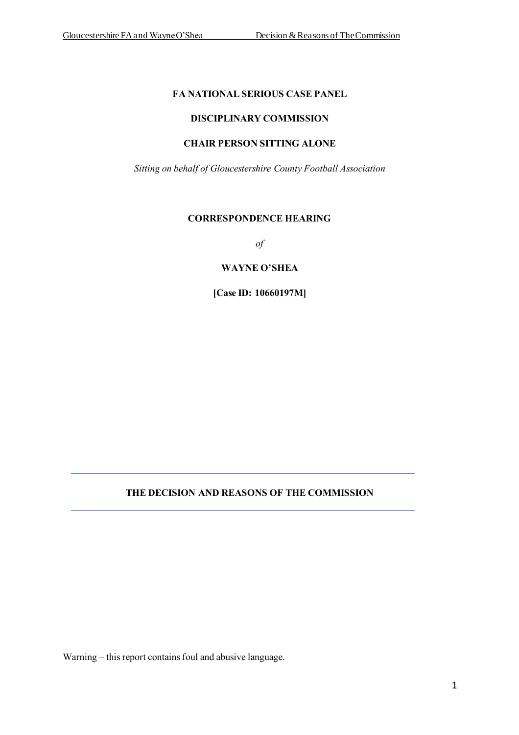### **FA NATIONAL SERIOUS CASE PANEL**

### **DISCIPLINARY COMMISSION**

## **CHAIR PERSON SITTING ALONE**

*Sitting on behalf of Gloucestershire County Football Association*

### **CORRESPONDENCE HEARING**

*of*

### **WAYNE O'SHEA**

**[Case ID: 10660197M]**

# **THE DECISION AND REASONS OF THE COMMISSION**

Warning – this report contains foul and abusive language.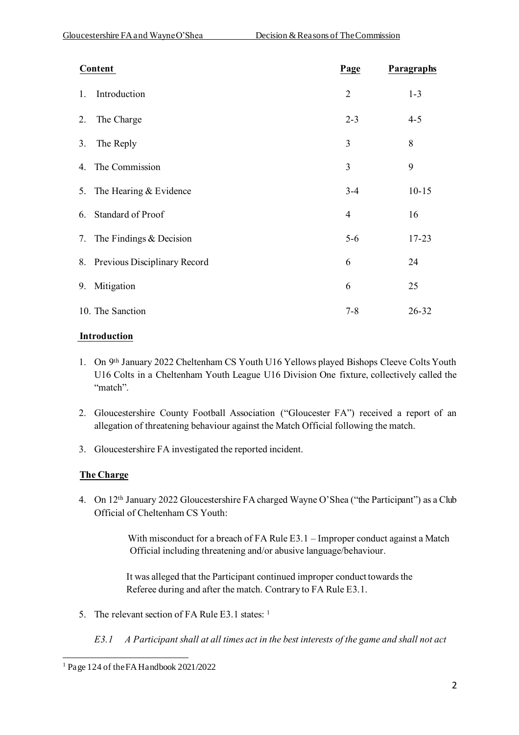| <b>Content</b>                  | Page           | Paragraphs |
|---------------------------------|----------------|------------|
| Introduction<br>1.              | $\overline{2}$ | $1 - 3$    |
| The Charge<br>2.                | $2 - 3$        | $4 - 5$    |
| The Reply<br>3.                 | 3              | 8          |
| 4. The Commission               | 3              | 9          |
| 5. The Hearing & Evidence       | $3 - 4$        | $10 - 15$  |
| 6. Standard of Proof            | $\overline{4}$ | 16         |
| 7. The Findings & Decision      | $5 - 6$        | $17 - 23$  |
| 8. Previous Disciplinary Record | 6              | 24         |
| Mitigation<br>9.                | 6              | 25         |
| 10. The Sanction                | $7 - 8$        | 26-32      |

## **Introduction**

- 1. On 9th January 2022 Cheltenham CS Youth U16 Yellows played Bishops Cleeve Colts Youth U16 Colts in a Cheltenham Youth League U16 Division One fixture, collectively called the "match".
- 2. Gloucestershire County Football Association ("Gloucester FA") received a report of an allegation of threatening behaviour against the Match Official following the match.
- 3. Gloucestershire FA investigated the reported incident.

# **The Charge**

4. On 12<sup>th</sup> January 2022 Gloucestershire FA charged Wayne O'Shea ("the Participant") as a Club Official of Cheltenham CS Youth:

> With misconduct for a breach of FA Rule E3.1 – Improper conduct against a Match Official including threatening and/or abusive language/behaviour.

 It was alleged that the Participant continued improper conduct towards the Referee during and after the match. Contrary to FA Rule E3.1.

- 5. The relevant section of FA Rule E3.1 states: 1
	- *E3.1 A Participant shall at all times act in the best interests of the game and shall not act*

<sup>1</sup> Page 124 of the FA Handbook 2021/2022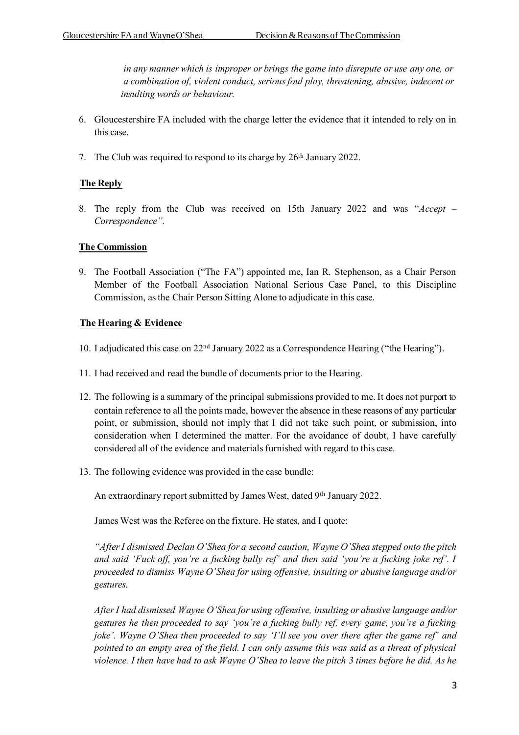*in any manner which is improper or brings the game into disrepute or use any one, or a combination of, violent conduct, serious foul play, threatening, abusive, indecent or insulting words or behaviour.*

- 6. Gloucestershire FA included with the charge letter the evidence that it intended to rely on in this case.
- 7. The Club was required to respond to its charge by 26th January 2022.

## **The Reply**

8. The reply from the Club was received on 15th January 2022 and was "*Accept – Correspondence".*

### **The Commission**

9. The Football Association ("The FA") appointed me, Ian R. Stephenson, as a Chair Person Member of the Football Association National Serious Case Panel, to this Discipline Commission, as the Chair Person Sitting Alone to adjudicate in this case.

### **The Hearing & Evidence**

- 10. I adjudicated this case on 22nd January 2022 as a Correspondence Hearing ("the Hearing").
- 11. I had received and read the bundle of documents prior to the Hearing.
- 12. The following is a summary of the principal submissions provided to me. It does not purport to contain reference to all the points made, however the absence in these reasons of any particular point, or submission, should not imply that I did not take such point, or submission, into consideration when I determined the matter. For the avoidance of doubt, I have carefully considered all of the evidence and materials furnished with regard to this case.
- 13. The following evidence was provided in the case bundle:

An extraordinary report submitted by James West, dated 9th January 2022.

James West was the Referee on the fixture. He states, and I quote:

*"After I dismissed Declan O'Shea for a second caution, Wayne O'Shea stepped onto the pitch and said 'Fuck off, you're a fucking bully ref' and then said 'you're a fucking joke ref'. I proceeded to dismiss Wayne O'Shea for using offensive, insulting or abusive language and/or gestures.*

*After I had dismissed Wayne O'Shea for using offensive, insulting or abusive language and/or gestures he then proceeded to say 'you're a fucking bully ref, every game, you're a fucking joke'. Wayne O'Shea then proceeded to say 'I'll see you over there after the game ref' and pointed to an empty area of the field. I can only assume this was said as a threat of physical violence. I then have had to ask Wayne O'Shea to leave the pitch 3 times before he did. As he*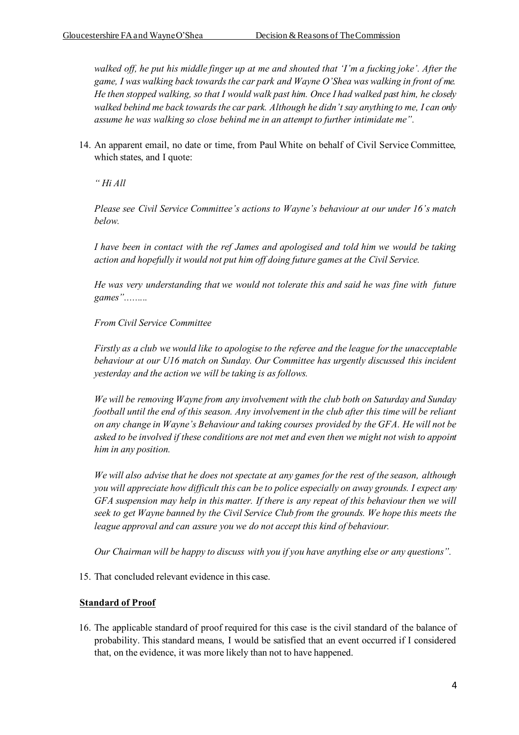*walked off, he put his middle finger up at me and shouted that 'I'm a fucking joke'. After the game, I was walking back towards the car park and Wayne O'Shea was walking in front of me. He then stopped walking, so that I would walk past him. Once I had walked past him, he closely walked behind me back towards the car park. Although he didn't say anything to me, I can only assume he was walking so close behind me in an attempt to further intimidate me".*

14. An apparent email, no date or time, from Paul White on behalf of Civil Service Committee, which states, and I quote:

*" Hi All*

*Please see Civil Service Committee's actions to Wayne's behaviour at our under 16's match below.*

*I have been in contact with the ref James and apologised and told him we would be taking action and hopefully it would not put him off doing future games at the Civil Service.*

*He was very understanding that we would not tolerate this and said he was fine with future games".........*

*From Civil Service Committee*

*Firstly as a club we would like to apologise to the referee and the league for the unacceptable behaviour at our U16 match on Sunday. Our Committee has urgently discussed this incident yesterday and the action we will be taking is as follows.*

*We will be removing Wayne from any involvement with the club both on Saturday and Sunday football until the end of this season. Any involvement in the club after this time will be reliant on any change in Wayne's Behaviour and taking courses provided by the GFA. He will not be asked to be involved if these conditions are not met and even then we might not wish to appoint him in any position.*

*We will also advise that he does not spectate at any games for the rest of the season, although you will appreciate how difficult this can be to police especially on away grounds. I expect any GFA suspension may help in this matter. If there is any repeat of this behaviour then we will seek to get Wayne banned by the Civil Service Club from the grounds. We hope this meets the league approval and can assure you we do not accept this kind of behaviour.*

*Our Chairman will be happy to discuss with you if you have anything else or any questions".*

15. That concluded relevant evidence in this case.

## **Standard of Proof**

16. The applicable standard of proof required for this case is the civil standard of the balance of probability. This standard means, I would be satisfied that an event occurred if I considered that, on the evidence, it was more likely than not to have happened.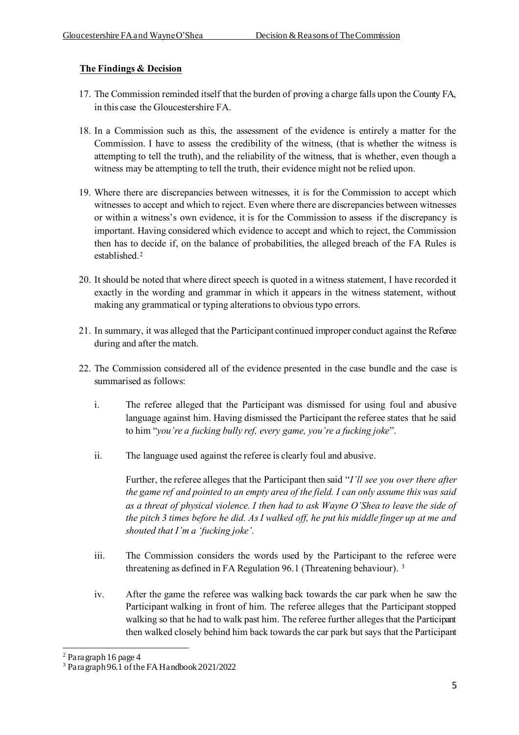## **The Findings & Decision**

- 17. The Commission reminded itself that the burden of proving a charge falls upon the County FA, in this case the Gloucestershire FA.
- 18. In a Commission such as this, the assessment of the evidence is entirely a matter for the Commission. I have to assess the credibility of the witness, (that is whether the witness is attempting to tell the truth), and the reliability of the witness, that is whether, even though a witness may be attempting to tell the truth, their evidence might not be relied upon.
- 19. Where there are discrepancies between witnesses, it is for the Commission to accept which witnesses to accept and which to reject. Even where there are discrepancies between witnesses or within a witness's own evidence, it is for the Commission to assess if the discrepancy is important. Having considered which evidence to accept and which to reject, the Commission then has to decide if, on the balance of probabilities, the alleged breach of the FA Rules is established.<sup>2</sup>
- 20. It should be noted that where direct speech is quoted in a witness statement, I have recorded it exactly in the wording and grammar in which it appears in the witness statement, without making any grammatical or typing alterations to obvious typo errors.
- 21. In summary, it was alleged that the Participant continued improper conduct against the Referee during and after the match.
- 22. The Commission considered all of the evidence presented in the case bundle and the case is summarised as follows:
	- i. The referee alleged that the Participant was dismissed for using foul and abusive language against him. Having dismissed the Participant the referee states that he said to him "*you're a fucking bully ref, every game, you're a fucking joke*".
	- ii. The language used against the referee is clearly foul and abusive.

Further, the referee alleges that the Participant then said "*I'll see you over there after the game ref and pointed to an empty area of the field. I can only assume this was said as a threat of physical violence. I then had to ask Wayne O'Shea to leave the side of the pitch 3 times before he did. As I walked off, he put his middle finger up at me and shouted that I'm a 'fucking joke'.*

- iii. The Commission considers the words used by the Participant to the referee were threatening as defined in FA Regulation 96.1 (Threatening behaviour). <sup>3</sup>
- iv. After the game the referee was walking back towards the car park when he saw the Participant walking in front of him. The referee alleges that the Participant stopped walking so that he had to walk past him. The referee further alleges that the Participant then walked closely behind him back towards the car park but says that the Participant

<sup>2</sup> Paragraph 16 page 4

<sup>3</sup> Paragraph 96.1 of the FA Handbook 2021/2022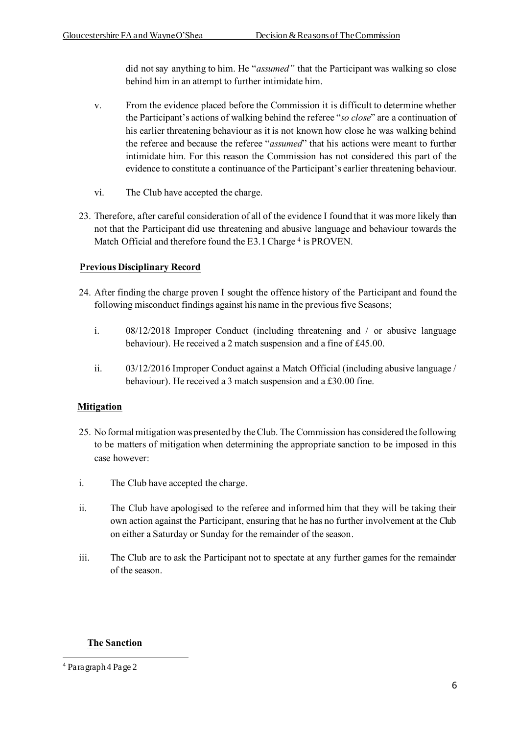did not say anything to him. He "*assumed"* that the Participant was walking so close behind him in an attempt to further intimidate him.

- v. From the evidence placed before the Commission it is difficult to determine whether the Participant's actions of walking behind the referee "*so close*" are a continuation of his earlier threatening behaviour as it is not known how close he was walking behind the referee and because the referee "*assumed*" that his actions were meant to further intimidate him. For this reason the Commission has not considered this part of the evidence to constitute a continuance of the Participant's earlier threatening behaviour.
- vi. The Club have accepted the charge.
- 23. Therefore, after careful consideration of all of the evidence I found that it was more likely than not that the Participant did use threatening and abusive language and behaviour towards the Match Official and therefore found the E3.1 Charge<sup>4</sup> is PROVEN.

# **Previous Disciplinary Record**

- 24. After finding the charge proven I sought the offence history of the Participant and found the following misconduct findings against his name in the previous five Seasons;
	- i. 08/12/2018 Improper Conduct (including threatening and / or abusive language behaviour). He received a 2 match suspension and a fine of £45.00.
	- ii. 03/12/2016 Improper Conduct against a Match Official (including abusive language / behaviour). He received a 3 match suspension and a £30.00 fine.

## **Mitigation**

- 25. No formal mitigation was presented by the Club. The Commission has considered the following to be matters of mitigation when determining the appropriate sanction to be imposed in this case however:
- i. The Club have accepted the charge.
- ii. The Club have apologised to the referee and informed him that they will be taking their own action against the Participant, ensuring that he has no further involvement at the Club on either a Saturday or Sunday for the remainder of the season.
- iii. The Club are to ask the Participant not to spectate at any further games for the remainder of the season.

## **The Sanction**

<sup>4</sup> Paragraph 4 Page 2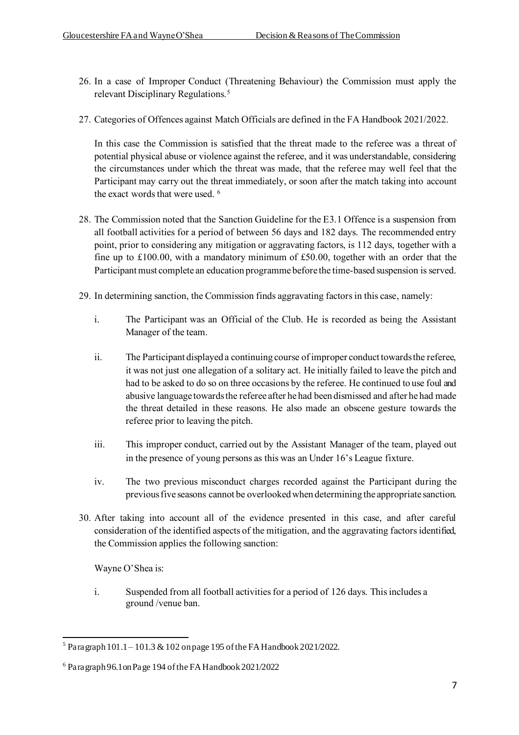- 26. In a case of Improper Conduct (Threatening Behaviour) the Commission must apply the relevant Disciplinary Regulations.<sup>5</sup>
- 27. Categories of Offences against Match Officials are defined in the FA Handbook 2021/2022.

In this case the Commission is satisfied that the threat made to the referee was a threat of potential physical abuse or violence against the referee, and it was understandable, considering the circumstances under which the threat was made, that the referee may well feel that the Participant may carry out the threat immediately, or soon after the match taking into account the exact words that were used. <sup>6</sup>

- 28. The Commission noted that the Sanction Guideline for the E3.1 Offence is a suspension from all football activities for a period of between 56 days and 182 days. The recommended entry point, prior to considering any mitigation or aggravating factors, is 112 days, together with a fine up to £100.00, with a mandatory minimum of £50.00, together with an order that the Participant must complete an education programme before the time-based suspension is served.
- 29. In determining sanction, the Commission finds aggravating factors in this case, namely:
	- i. The Participant was an Official of the Club. He is recorded as being the Assistant Manager of the team.
	- ii. The Participant displayed a continuing course of improper conduct towards the referee, it was not just one allegation of a solitary act. He initially failed to leave the pitch and had to be asked to do so on three occasions by the referee. He continued to use foul and abusive language towards the referee after he had been dismissed and after he had made the threat detailed in these reasons. He also made an obscene gesture towards the referee prior to leaving the pitch.
	- iii. This improper conduct, carried out by the Assistant Manager of the team, played out in the presence of young persons as this was an Under 16's League fixture.
	- iv. The two previous misconduct charges recorded against the Participant during the previous five seasons cannot be overlooked when determining the appropriate sanction.
- 30. After taking into account all of the evidence presented in this case, and after careful consideration of the identified aspects of the mitigation, and the aggravating factors identified, the Commission applies the following sanction:

Wayne O'Shea is:

i. Suspended from all football activities for a period of 126 days. This includes a ground /venue ban.

 $5$  Paragraph 101.1 – 101.3 & 102 on page 195 of the FA Handbook 2021/2022.

<sup>6</sup> Paragraph 96.1on Page 194 of the FA Handbook 2021/2022